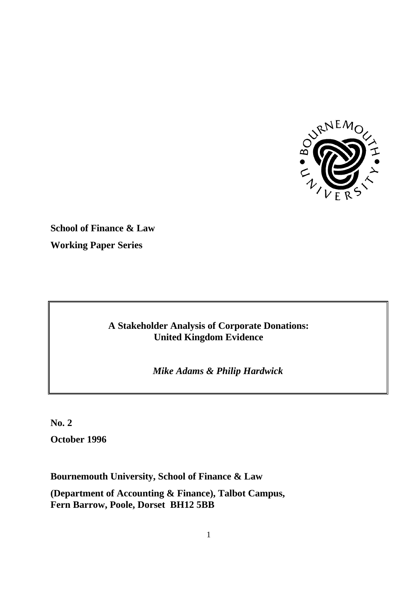

**School of Finance & Law Working Paper Series**

# **A Stakeholder Analysis of Corporate Donations: United Kingdom Evidence**

*Mike Adams & Philip Hardwick*

**No. 2 October 1996**

**Bournemouth University, School of Finance & Law**

**(Department of Accounting & Finance), Talbot Campus, Fern Barrow, Poole, Dorset BH12 5BB**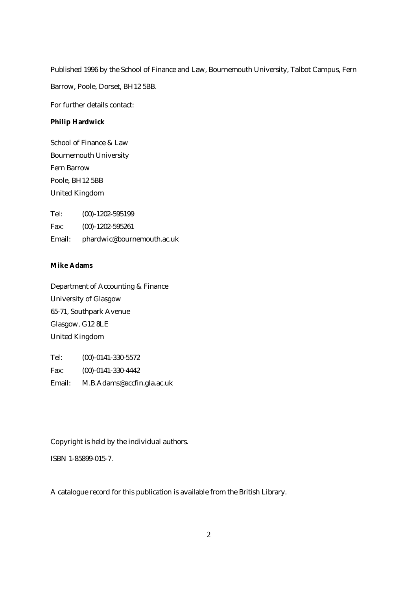Published 1996 by the School of Finance and Law, Bournemouth University, Talbot Campus, Fern Barrow, Poole, Dorset, BH12 5BB.

For further details contact:

#### **Philip Hardwick**

School of Finance & Law Bournemouth University Fern Barrow Poole, BH12 5BB United Kingdom

Tel: (00)-1202-595199 Fax: (00)-1202-595261 Email: phardwic@bournemouth.ac.uk

## **Mike Adams**

Department of Accounting & Finance University of Glasgow 65-71, Southpark Avenue Glasgow, G12 8LE United Kingdom

Tel: (00)-0141-330-5572 Fax: (00)-0141-330-4442 Email: M.B.Adams@accfin.gla.ac.uk

Copyright is held by the individual authors.

ISBN 1-85899-015-7.

A catalogue record for this publication is available from the British Library.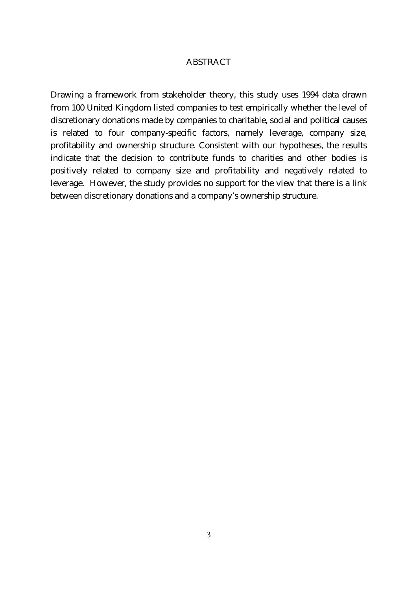### ABSTRACT

Drawing a framework from stakeholder theory, this study uses 1994 data drawn from 100 United Kingdom listed companies to test empirically whether the level of discretionary donations made by companies to charitable, social and political causes is related to four company-specific factors, namely leverage, company size, profitability and ownership structure. Consistent with our hypotheses, the results indicate that the decision to contribute funds to charities and other bodies is positively related to company size and profitability and negatively related to leverage. However, the study provides no support for the view that there is a link between discretionary donations and a company's ownership structure.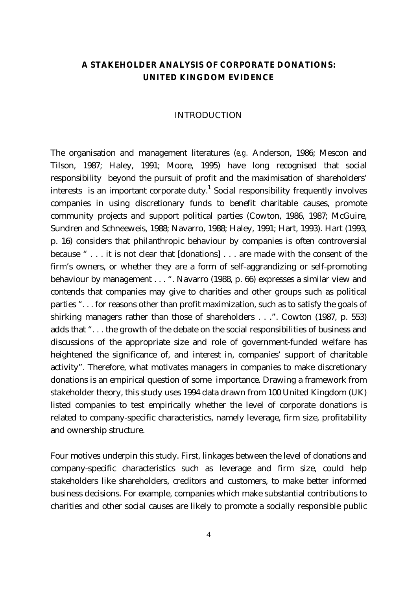# **A STAKEHOLDER ANALYSIS OF CORPORATE DONATIONS: UNITED KINGDOM EVIDENCE**

#### INTRODUCTION

The organisation and management literatures (*e.g.* Anderson, 1986; Mescon and Tilson, 1987; Haley, 1991; Moore, 1995) have long recognised that social responsibility beyond the pursuit of profit and the maximisation of shareholders' interests is an important corporate duty.<sup>1</sup> Social responsibility frequently involves companies in using discretionary funds to benefit charitable causes, promote community projects and support political parties (Cowton, 1986, 1987; McGuire, Sundren and Schneeweis, 1988; Navarro, 1988; Haley, 1991; Hart, 1993). Hart (1993, p. 16) considers that philanthropic behaviour by companies is often controversial because " . . . it is not clear that [donations] . . . are made with the consent of the firm's owners, or whether they are a form of self-aggrandizing or self-promoting behaviour by management . . . ". Navarro (1988, p. 66) expresses a similar view and contends that companies may give to charities and other groups such as political parties ". . . for reasons other than profit maximization, such as to satisfy the goals of shirking managers rather than those of shareholders . . .". Cowton (1987, p. 553) adds that ". . . the growth of the debate on the social responsibilities of business and discussions of the appropriate size and role of government-funded welfare has heightened the significance of, and interest in, companies' support of charitable activity". Therefore, what motivates managers in companies to make discretionary donations is an empirical question of some importance. Drawing a framework from stakeholder theory, this study uses 1994 data drawn from 100 United Kingdom (UK) listed companies to test empirically whether the level of corporate donations is related to company-specific characteristics, namely leverage, firm size, profitability and ownership structure.

Four motives underpin this study. First, linkages between the level of donations and company-specific characteristics such as leverage and firm size, could help stakeholders like shareholders, creditors and customers, to make better informed business decisions. For example, companies which make substantial contributions to charities and other social causes are likely to promote a socially responsible public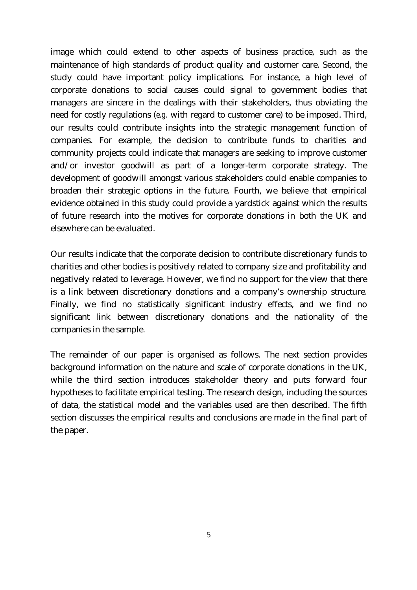image which could extend to other aspects of business practice, such as the maintenance of high standards of product quality and customer care. Second, the study could have important policy implications. For instance, a high level of corporate donations to social causes could signal to government bodies that managers are sincere in the dealings with their stakeholders, thus obviating the need for costly regulations (*e.g.* with regard to customer care) to be imposed. Third, our results could contribute insights into the strategic management function of companies. For example, the decision to contribute funds to charities and community projects could indicate that managers are seeking to improve customer and/or investor goodwill as part of a longer-term corporate strategy. The development of goodwill amongst various stakeholders could enable companies to broaden their strategic options in the future. Fourth, we believe that empirical evidence obtained in this study could provide a yardstick against which the results of future research into the motives for corporate donations in both the UK and elsewhere can be evaluated.

Our results indicate that the corporate decision to contribute discretionary funds to charities and other bodies is positively related to company size and profitability and negatively related to leverage. However, we find no support for the view that there is a link between discretionary donations and a company's ownership structure. Finally, we find no statistically significant industry effects, and we find no significant link between discretionary donations and the nationality of the companies in the sample.

The remainder of our paper is organised as follows. The next section provides background information on the nature and scale of corporate donations in the UK, while the third section introduces stakeholder theory and puts forward four hypotheses to facilitate empirical testing. The research design, including the sources of data, the statistical model and the variables used are then described. The fifth section discusses the empirical results and conclusions are made in the final part of the paper.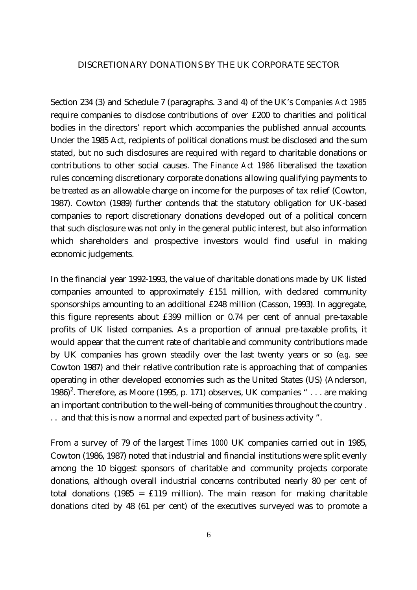#### DISCRETIONARY DONATIONS BY THE UK CORPORATE SECTOR

Section 234 (3) and Schedule 7 (paragraphs. 3 and 4) of the UK's *Companies Act 1985* require companies to disclose contributions of over £200 to charities and political bodies in the directors' report which accompanies the published annual accounts. Under the 1985 Act, recipients of political donations must be disclosed and the sum stated, but no such disclosures are required with regard to charitable donations or contributions to other social causes. The *Finance Act 1986* liberalised the taxation rules concerning discretionary corporate donations allowing qualifying payments to be treated as an allowable charge on income for the purposes of tax relief (Cowton, 1987). Cowton (1989) further contends that the statutory obligation for UK-based companies to report discretionary donations developed out of a political concern that such disclosure was not only in the general public interest, but also information which shareholders and prospective investors would find useful in making economic judgements.

In the financial year 1992-1993, the value of charitable donations made by UK listed companies amounted to approximately £151 million, with declared community sponsorships amounting to an additional £248 million (Casson, 1993). In aggregate, this figure represents about £399 million or 0.74 per cent of annual pre-taxable profits of UK listed companies. As a proportion of annual pre-taxable profits, it would appear that the current rate of charitable and community contributions made by UK companies has grown steadily over the last twenty years or so (*e.g.* see Cowton 1987) and their relative contribution rate is approaching that of companies operating in other developed economies such as the United States (US) (Anderson, 1986)<sup>2</sup>. Therefore, as Moore (1995, p. 171) observes, UK companies " $\dots$  are making an important contribution to the well-being of communities throughout the country . . . and that this is now a normal and expected part of business activity ".

From a survey of 79 of the largest *Times 1000* UK companies carried out in 1985, Cowton (1986, 1987) noted that industrial and financial institutions were split evenly among the 10 biggest sponsors of charitable and community projects corporate donations, although overall industrial concerns contributed nearly 80 per cent of total donations (1985 =  $£119$  million). The main reason for making charitable donations cited by 48 (61 per cent) of the executives surveyed was to promote a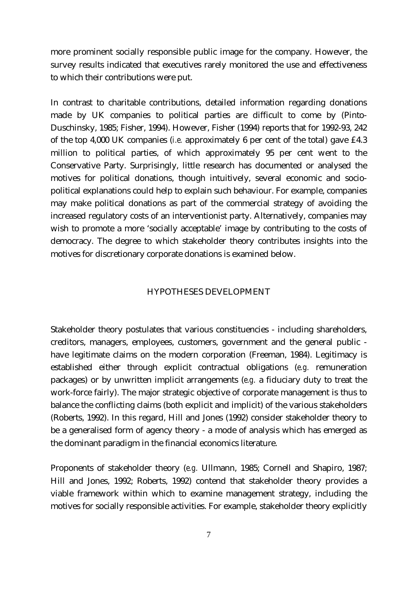more prominent socially responsible public image for the company. However, the survey results indicated that executives rarely monitored the use and effectiveness to which their contributions were put.

In contrast to charitable contributions, detailed information regarding donations made by UK companies to political parties are difficult to come by (Pinto-Duschinsky, 1985; Fisher, 1994). However, Fisher (1994) reports that for 1992-93, 242 of the top 4,000 UK companies (*i.e.* approximately 6 per cent of the total) gave £4.3 million to political parties, of which approximately 95 per cent went to the Conservative Party. Surprisingly, little research has documented or analysed the motives for political donations, though intuitively, several economic and sociopolitical explanations could help to explain such behaviour. For example, companies may make political donations as part of the commercial strategy of avoiding the increased regulatory costs of an interventionist party. Alternatively, companies may wish to promote a more 'socially acceptable' image by contributing to the costs of democracy. The degree to which stakeholder theory contributes insights into the motives for discretionary corporate donations is examined below.

#### HYPOTHESES DEVELOPMENT

Stakeholder theory postulates that various constituencies - including shareholders, creditors, managers, employees, customers, government and the general public have legitimate claims on the modern corporation (Freeman, 1984). Legitimacy is established either through explicit contractual obligations (*e.g.* remuneration packages) or by unwritten implicit arrangements (*e.g.* a fiduciary duty to treat the work-force fairly). The major strategic objective of corporate management is thus to balance the conflicting claims (both explicit and implicit) of the various stakeholders (Roberts, 1992). In this regard, Hill and Jones (1992) consider stakeholder theory to be a generalised form of agency theory - a mode of analysis which has emerged as the dominant paradigm in the financial economics literature.

Proponents of stakeholder theory (*e.g.* Ullmann, 1985; Cornell and Shapiro, 1987; Hill and Jones, 1992; Roberts, 1992) contend that stakeholder theory provides a viable framework within which to examine management strategy, including the motives for socially responsible activities. For example, stakeholder theory explicitly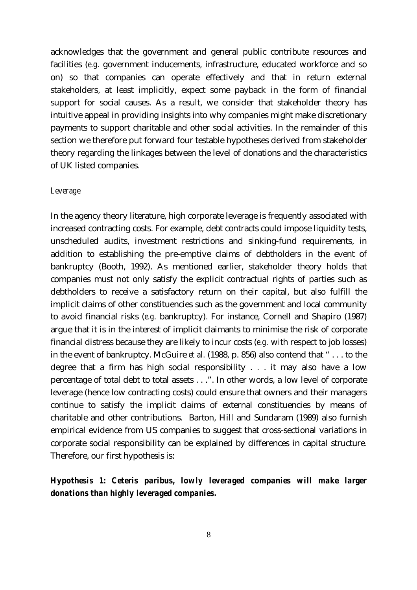acknowledges that the government and general public contribute resources and facilities (*e.g.* government inducements, infrastructure, educated workforce and so on) so that companies can operate effectively and that in return external stakeholders, at least implicitly, expect some payback in the form of financial support for social causes. As a result, we consider that stakeholder theory has intuitive appeal in providing insights into why companies might make discretionary payments to support charitable and other social activities. In the remainder of this section we therefore put forward four testable hypotheses derived from stakeholder theory regarding the linkages between the level of donations and the characteristics of UK listed companies.

#### *Leverage*

In the agency theory literature, high corporate leverage is frequently associated with increased contracting costs. For example, debt contracts could impose liquidity tests, unscheduled audits, investment restrictions and sinking-fund requirements, in addition to establishing the pre-emptive claims of debtholders in the event of bankruptcy (Booth, 1992). As mentioned earlier, stakeholder theory holds that companies must not only satisfy the explicit contractual rights of parties such as debtholders to receive a satisfactory return on their capital, but also fulfill the implicit claims of other constituencies such as the government and local community to avoid financial risks (*e.g.* bankruptcy). For instance, Cornell and Shapiro (1987) argue that it is in the interest of implicit claimants to minimise the risk of corporate financial distress because they are likely to incur costs (*e.g.* with respect to job losses) in the event of bankruptcy. McGuire *et al.* (1988, p. 856) also contend that " . . . to the degree that a firm has high social responsibility . . . it may also have a low percentage of total debt to total assets . . .". In other words, a low level of corporate leverage (hence low contracting costs) could ensure that owners and their managers continue to satisfy the implicit claims of external constituencies by means of charitable and other contributions. Barton, Hill and Sundaram (1989) also furnish empirical evidence from US companies to suggest that cross-sectional variations in corporate social responsibility can be explained by differences in capital structure. Therefore, our first hypothesis is:

# *Hypothesis 1: Ceteris paribus, lowly leveraged companies will make larger donations than highly leveraged companies.*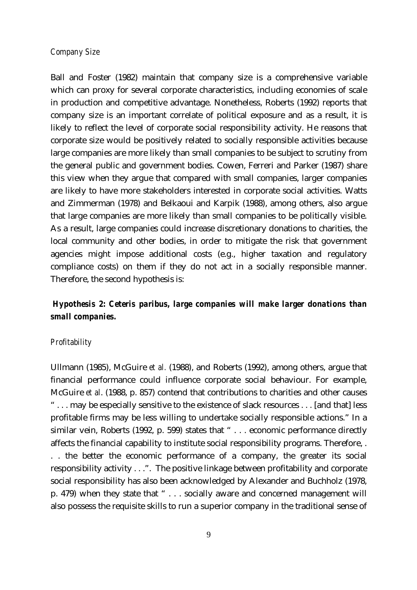## *Company Size*

Ball and Foster (1982) maintain that company size is a comprehensive variable which can proxy for several corporate characteristics, including economies of scale in production and competitive advantage. Nonetheless, Roberts (1992) reports that company size is an important correlate of political exposure and as a result, it is likely to reflect the level of corporate social responsibility activity. He reasons that corporate size would be positively related to socially responsible activities because large companies are more likely than small companies to be subject to scrutiny from the general public and government bodies. Cowen, Ferreri and Parker (1987) share this view when they argue that compared with small companies, larger companies are likely to have more stakeholders interested in corporate social activities. Watts and Zimmerman (1978) and Belkaoui and Karpik (1988), among others, also argue that large companies are more likely than small companies to be politically visible. As a result, large companies could increase discretionary donations to charities, the local community and other bodies, in order to mitigate the risk that government agencies might impose additional costs (e.g., higher taxation and regulatory compliance costs) on them if they do not act in a socially responsible manner. Therefore, the second hypothesis is:

# *Hypothesis 2: Ceteris paribus, large companies will make larger donations than small companies.*

#### *Profitability*

Ullmann (1985), McGuire *et al.* (1988), and Roberts (1992), among others, argue that financial performance could influence corporate social behaviour. For example, McGuire *et al*. (1988, p. 857) contend that contributions to charities and other causes " . . . may be especially sensitive to the existence of slack resources . . . [and that] less profitable firms may be less willing to undertake socially responsible actions." In a similar vein, Roberts (1992, p. 599) states that "... economic performance directly affects the financial capability to institute social responsibility programs. Therefore, . . . the better the economic performance of a company, the greater its social responsibility activity . . .". The positive linkage between profitability and corporate social responsibility has also been acknowledged by Alexander and Buchholz (1978, p. 479) when they state that " . . . socially aware and concerned management will also possess the requisite skills to run a superior company in the traditional sense of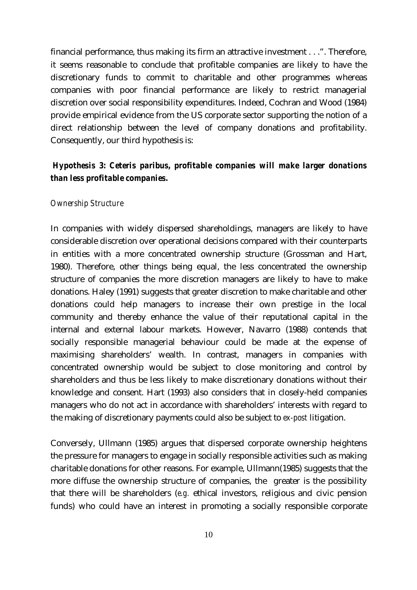financial performance, thus making its firm an attractive investment . . .". Therefore, it seems reasonable to conclude that profitable companies are likely to have the discretionary funds to commit to charitable and other programmes whereas companies with poor financial performance are likely to restrict managerial discretion over social responsibility expenditures. Indeed, Cochran and Wood (1984) provide empirical evidence from the US corporate sector supporting the notion of a direct relationship between the level of company donations and profitability. Consequently, our third hypothesis is:

## *Hypothesis 3: Ceteris paribus, profitable companies will make larger donations than less profitable companies.*

#### *Ownership Structure*

In companies with widely dispersed shareholdings, managers are likely to have considerable discretion over operational decisions compared with their counterparts in entities with a more concentrated ownership structure (Grossman and Hart, 1980). Therefore, other things being equal, the less concentrated the ownership structure of companies the more discretion managers are likely to have to make donations. Haley (1991) suggests that greater discretion to make charitable and other donations could help managers to increase their own prestige in the local community and thereby enhance the value of their reputational capital in the internal and external labour markets. However, Navarro (1988) contends that socially responsible managerial behaviour could be made at the expense of maximising shareholders' wealth. In contrast, managers in companies with concentrated ownership would be subject to close monitoring and control by shareholders and thus be less likely to make discretionary donations without their knowledge and consent. Hart (1993) also considers that in closely-held companies managers who do not act in accordance with shareholders' interests with regard to the making of discretionary payments could also be subject to *ex-post* litigation.

Conversely, Ullmann (1985) argues that dispersed corporate ownership heightens the pressure for managers to engage in socially responsible activities such as making charitable donations for other reasons. For example, Ullmann(1985) suggests that the more diffuse the ownership structure of companies, the greater is the possibility that there will be shareholders (*e.g.* ethical investors, religious and civic pension funds) who could have an interest in promoting a socially responsible corporate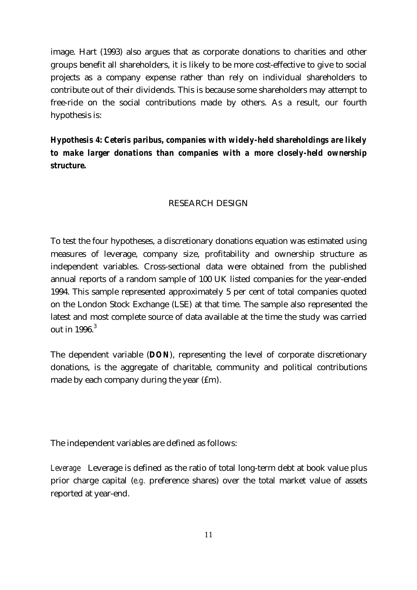image. Hart (1993) also argues that as corporate donations to charities and other groups benefit all shareholders, it is likely to be more cost-effective to give to social projects as a company expense rather than rely on individual shareholders to contribute out of their dividends. This is because some shareholders may attempt to free-ride on the social contributions made by others. As a result, our fourth hypothesis is:

*Hypothesis 4: Ceteris paribus, companies with widely-held shareholdings are likely to make larger donations than companies with a more closely-held ownership structure.*

## RESEARCH DESIGN

To test the four hypotheses, a discretionary donations equation was estimated using measures of leverage, company size, profitability and ownership structure as independent variables. Cross-sectional data were obtained from the published annual reports of a random sample of 100 UK listed companies for the year-ended 1994. This sample represented approximately 5 per cent of total companies quoted on the London Stock Exchange (LSE) at that time. The sample also represented the latest and most complete source of data available at the time the study was carried out in  $1996<sup>3</sup>$ 

The dependent variable (*DON*), representing the level of corporate discretionary donations, is the aggregate of charitable, community and political contributions made by each company during the year  $(fm)$ .

The independent variables are defined as follows:

*Leverage* Leverage is defined as the ratio of total long-term debt at book value plus prior charge capital (*e.g.* preference shares) over the total market value of assets reported at year-end.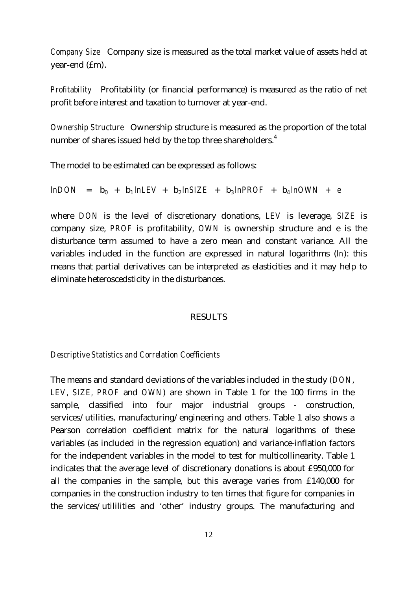*Company Size* Company size is measured as the total market value of assets held at year-end (£m).

*Profitability* Profitability (or financial performance) is measured as the ratio of net profit before interest and taxation to turnover at year-end.

*Ownership Structure* Ownership structure is measured as the proportion of the total number of shares issued held by the top three shareholders.<sup>4</sup>

The model to be estimated can be expressed as follows:

 $ln$ *DON* =  $b_0$  +  $b_1$  *lnLEV* +  $b_2$  *lnSIZE* +  $b_3$  *lnPROF* +  $b_4$  *lnOWN* + *e* 

where *DON* is the level of discretionary donations, *LEV* is leverage, *SIZE* is company size, *PROF* is profitability, *OWN* is ownership structure and e is the disturbance term assumed to have a zero mean and constant variance. All the variables included in the function are expressed in natural logarithms (*ln*): this means that partial derivatives can be interpreted as elasticities and it may help to eliminate heteroscedsticity in the disturbances.

#### RESULTS

### *Descriptive Statistics and Correlation Coefficients*

The means and standard deviations of the variables included in the study *(DON*, *LEV, SIZE, PROF* and *OWN*) are shown in Table 1 for the 100 firms in the sample, classified into four major industrial groups - construction, services/utilities, manufacturing/engineering and others. Table 1 also shows a Pearson correlation coefficient matrix for the natural logarithms of these variables (as included in the regression equation) and variance-inflation factors for the independent variables in the model to test for multicollinearity. Table 1 indicates that the average level of discretionary donations is about £950,000 for all the companies in the sample, but this average varies from £140,000 for companies in the construction industry to ten times that figure for companies in the services/utililities and 'other' industry groups. The manufacturing and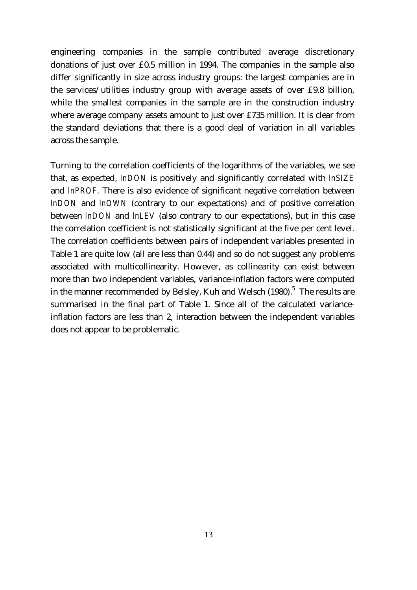engineering companies in the sample contributed average discretionary donations of just over £0.5 million in 1994. The companies in the sample also differ significantly in size across industry groups: the largest companies are in the services/utilities industry group with average assets of over £9.8 billion, while the smallest companies in the sample are in the construction industry where average company assets amount to just over £735 million. It is clear from the standard deviations that there is a good deal of variation in all variables across the sample.

Turning to the correlation coefficients of the logarithms of the variables, we see that, as expected, *lnDON* is positively and significantly correlated with *lnSIZE* and *lnPROF.* There is also evidence of significant negative correlation between *lnDON* and *lnOWN* (contrary to our expectations) and of positive correlation between *lnDON* and *lnLEV* (also contrary to our expectations), but in this case the correlation coefficient is not statistically significant at the five per cent level. The correlation coefficients between pairs of independent variables presented in Table 1 are quite low (all are less than 0.44) and so do not suggest any problems associated with multicollinearity. However, as collinearity can exist between more than two independent variables, variance-inflation factors were computed in the manner recommended by Belsley, Kuh and Welsch (1980). $^5\,$  The results are summarised in the final part of Table 1. Since all of the calculated varianceinflation factors are less than 2, interaction between the independent variables does not appear to be problematic.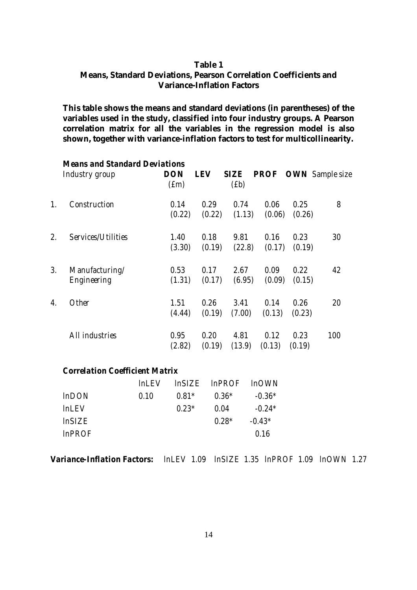## **Table 1 Means, Standard Deviations, Pearson Correlation Coefficients and Variance-Inflation Factors**

**This table shows the means and standard deviations (in parentheses) of the variables used in the study, classified into four industry groups. A Pearson correlation matrix for all the variables in the regression model is also shown, together with variance-inflation factors to test for multicollinearity.**

|    | <b>Means and Standard Deviations</b> |                   |            |             |        |        |                             |
|----|--------------------------------------|-------------------|------------|-------------|--------|--------|-----------------------------|
|    | Industry group                       | <b>DON</b>        | <b>LEV</b> | <b>SIZE</b> |        |        | <b>PROF OWN</b> Sample size |
|    |                                      | (f <sub>m</sub> ) |            | (fb)        |        |        |                             |
| 1. | Construction                         | 0.14              | 0.29       | 0.74        | 0.06   | 0.25   | 8                           |
|    |                                      | (0.22)            | (0.22)     | (1.13)      | (0.06) | (0.26) |                             |
| 2. | Services/Utilities                   | <i>1.40</i>       | 0.18       | 9.81        | 0.16   | 0.23   | 30                          |
|    |                                      | (3.30)            | (0.19)     | (22.8)      | (0.17) | (0.19) |                             |
| 3. | Manufacturing/                       | 0.53              | 0.17       | 2.67        | 0.09   | 0.22   | 42                          |
|    | Engineering                          | (1.31)            | (0.17)     | (6.95)      | (0.09) | (0.15) |                             |
| 4. | <i><b>Other</b></i>                  | 1.51              | 0.26       | 3.41        | 0.14   | 0.26   | 20                          |
|    |                                      | (4.44)            | (0.19)     | (7.00)      | (0.13) | (0.23) |                             |
|    | All industries                       | 0.95              | 0.20       | 4.81        | 0.12   | 0.23   | 100                         |
|    |                                      | (2.82)            | (0.19)     | (13.9)      | (0.13) | (0.19) |                             |

#### *Correlation Coefficient Matrix*

|                 |      |         | lnLEV lnSIZE lnPROF lnOWN |          |
|-----------------|------|---------|---------------------------|----------|
| $ln$ <i>DON</i> | 0.10 | $0.81*$ | $0.36*$                   | $-0.36*$ |
| lnLEV           |      | $0.23*$ | 0.04                      | $-0.24*$ |
| <i>InSIZE</i>   |      |         | $0.28*$                   | $-0.43*$ |
| <i>InPROF</i>   |      |         |                           | 0.16     |

*Variance-Inflation Factors: lnLEV 1.09 lnSIZE 1.35 lnPROF 1.09 lnOWN 1.27*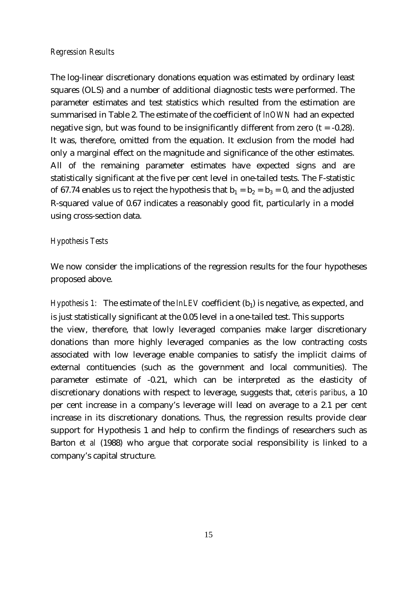### *Regression Results*

The log-linear discretionary donations equation was estimated by ordinary least squares (OLS) and a number of additional diagnostic tests were performed. The parameter estimates and test statistics which resulted from the estimation are summarised in Table 2. The estimate of the coefficient of *lnOWN* had an expected negative sign, but was found to be insignificantly different from zero  $(t = -0.28)$ . It was, therefore, omitted from the equation. It exclusion from the model had only a marginal effect on the magnitude and significance of the other estimates. All of the remaining parameter estimates have expected signs and are statistically significant at the five per cent level in one-tailed tests. The F-statistic of 67.74 enables us to reject the hypothesis that  $b_1 = b_2 = b_3 = 0$ , and the adjusted R-squared value of 0.67 indicates a reasonably good fit, particularly in a model using cross-section data.

## *Hypothesis Tests*

We now consider the implications of the regression results for the four hypotheses proposed above.

*Hypothesis 1:* The estimate of the *lnLEV* coefficient (b<sub>1</sub>) is negative, as expected, and is just statistically significant at the 0.05 level in a one-tailed test. This supports the view, therefore, that lowly leveraged companies make larger discretionary donations than more highly leveraged companies as the low contracting costs associated with low leverage enable companies to satisfy the implicit claims of external contituencies (such as the government and local communities). The parameter estimate of -0.21, which can be interpreted as the elasticity of discretionary donations with respect to leverage, suggests that, *ceteris paribus*, a 10 per cent increase in a company's leverage will lead on average to a 2.1 per cent increase in its discretionary donations. Thus, the regression results provide clear support for Hypothesis 1 and help to confirm the findings of researchers such as Barton *et al* (1988) who argue that corporate social responsibility is linked to a company's capital structure.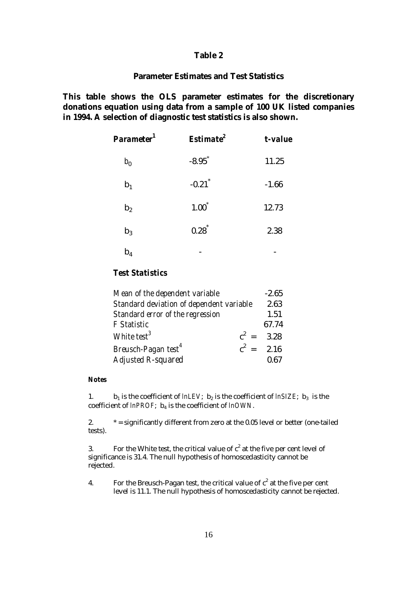#### **Table 2**

## **Parameter Estimates and Test Statistics**

**This table shows the OLS parameter estimates for the discretionary donations equation using data from a sample of 100 UK listed companies in 1994. A selection of diagnostic test statistics is also shown.**

| Parameter <sup>1</sup> | Estimate <sup>2</sup> | t-value |
|------------------------|-----------------------|---------|
| $b_0$                  | $-8.95$ <sup>*</sup>  | 11.25   |
| $\mathbf{b}_1$         | $-0.21$ <sup>*</sup>  | $-1.66$ |
| b <sub>2</sub>         | $1.00^*$              | 12.73   |
| $b_3$                  | $0.28^{*}$            | 2.38    |
| $\rm b_4$              |                       |         |

## *Test Statistics*

| Mean of the dependent variable           |              | $-2.65$ |
|------------------------------------------|--------------|---------|
| Standard deviation of dependent variable |              |         |
| Standard error of the regression         |              | 1.51    |
| <b>F</b> Statistic                       |              | 67.74   |
| White test <sup>3</sup>                  | $c^2 = 3.28$ |         |
| Breusch-Pagan test <sup>4</sup>          | $c^2 = 2.16$ |         |
| <b>Adjusted R-squared</b>                |              | 0.67    |

#### *Notes*

1.  $\mathbf{b}_1$  is the coefficient of *lnLEV*;  $\mathbf{b}_2$  is the coefficient of *lnSIZE*;  $\mathbf{b}_3$  is the coefficient of *lnPROF*; b<sup>4</sup> is the coefficient of *lnOWN*.

2.  $* =$  significantly different from zero at the 0.05 level or better (one-tailed tests).

3. For the White test, the critical value of  $c^2$  at the five per cent level of significance is 31.4. The null hypothesis of homoscedasticity cannot be rejected.

4. For the Breusch-Pagan test, the critical value of  $c^2$  at the five per cent level is 11.1. The null hypothesis of homoscedasticity cannot be rejected.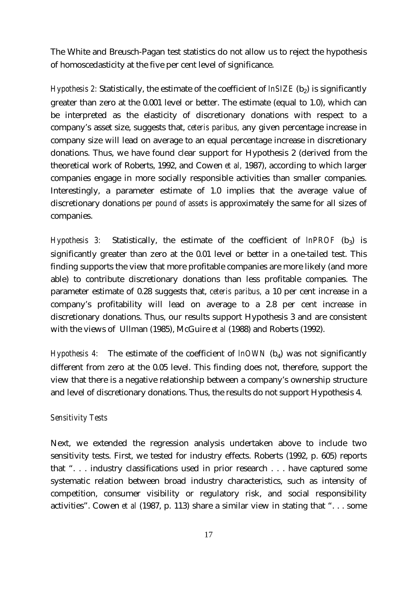The White and Breusch-Pagan test statistics do not allow us to reject the hypothesis of homoscedasticity at the five per cent level of significance.

*Hypothesis 2:* Statistically, the estimate of the coefficient of *lnSIZE* (b<sub>2</sub>) is significantly greater than zero at the 0.001 level or better. The estimate (equal to 1.0), which can be interpreted as the elasticity of discretionary donations with respect to a company's asset size, suggests that, *ceteris paribus,* any given percentage increase in company size will lead on average to an equal percentage increase in discretionary donations. Thus, we have found clear support for Hypothesis 2 (derived from the theoretical work of Roberts, 1992, and Cowen *et al,* 1987), according to which larger companies engage in more socially responsible activities than smaller companies. Interestingly, a parameter estimate of 1.0 implies that the average value of discretionary donations *per pound of assets* is approximately the same for all sizes of companies.

*Hypothesis 3:* Statistically, the estimate of the coefficient of *lnPROF* (b<sup>3</sup> ) is significantly greater than zero at the 0.01 level or better in a one-tailed test. This finding supports the view that more profitable companies are more likely (and more able) to contribute discretionary donations than less profitable companies. The parameter estimate of 0.28 suggests that, *ceteris paribus,* a 10 per cent increase in a company's profitability will lead on average to a 2.8 per cent increase in discretionary donations. Thus, our results support Hypothesis 3 and are consistent with the views of Ullman (1985), McGuire *et al* (1988) and Roberts (1992).

*Hypothesis 4:* The estimate of the coefficient of *lnOWN* (b<sub>4</sub>) was not significantly different from zero at the 0.05 level. This finding does not, therefore, support the view that there is a negative relationship between a company's ownership structure and level of discretionary donations. Thus, the results do not support Hypothesis 4.

## *Sensitivity Tests*

Next, we extended the regression analysis undertaken above to include two sensitivity tests. First, we tested for industry effects. Roberts (1992, p. 605) reports that ". . . industry classifications used in prior research . . . have captured some systematic relation between broad industry characteristics, such as intensity of competition, consumer visibility or regulatory risk, and social responsibility activities". Cowen *et al* (1987, p. 113) share a similar view in stating that ". . . some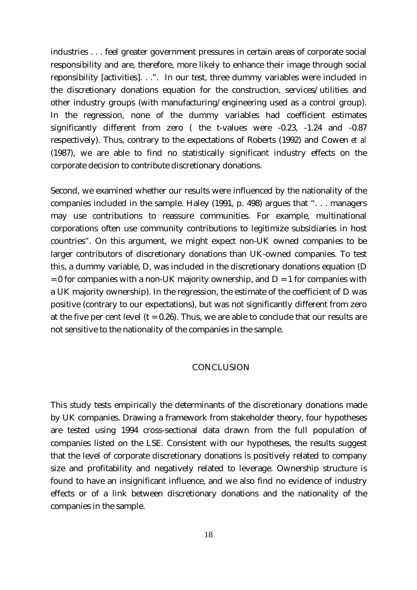industries . . . feel greater government pressures in certain areas of corporate social responsibility and are, therefore, more likely to enhance their image through social reponsibility [activities]. . .". In our test, three dummy variables were included in the discretionary donations equation for the construction, services/utilities and other industry groups (with manufacturing/engineering used as a control group). In the regression, none of the dummy variables had coefficient estimates significantly different from zero ( the t-values were -0.23, -1.24 and -0.87 respectively). Thus, contrary to the expectations of Roberts (1992) and Cowen *et al* (1987), we are able to find no statistically significant industry effects on the corporate decision to contribute discretionary donations.

Second, we examined whether our results were influenced by the nationality of the companies included in the sample. Haley (1991, p. 498) argues that ". . . managers may use contributions to reassure communities. For example, multinational corporations often use community contributions to legitimize subsidiaries in host countries". On this argument, we might expect non-UK owned companies to be larger contributors of discretionary donations than UK-owned companies. To test this, a dummy variable, D, was included in the discretionary donations equation (D  $= 0$  for companies with a non-UK majority ownership, and  $D = 1$  for companies with a UK majority ownership). In the regression, the estimate of the coefficient of D was positive (contrary to our expectations), but was not significantly different from zero at the five per cent level  $(t = 0.26)$ . Thus, we are able to conclude that our results are not sensitive to the nationality of the companies in the sample.

#### **CONCLUSION**

This study tests empirically the determinants of the discretionary donations made by UK companies. Drawing a framework from stakeholder theory, four hypotheses are tested using 1994 cross-sectional data drawn from the full population of companies listed on the LSE. Consistent with our hypotheses, the results suggest that the level of corporate discretionary donations is positively related to company size and profitability and negatively related to leverage. Ownership structure is found to have an insignificant influence, and we also find no evidence of industry effects or of a link between discretionary donations and the nationality of the companies in the sample.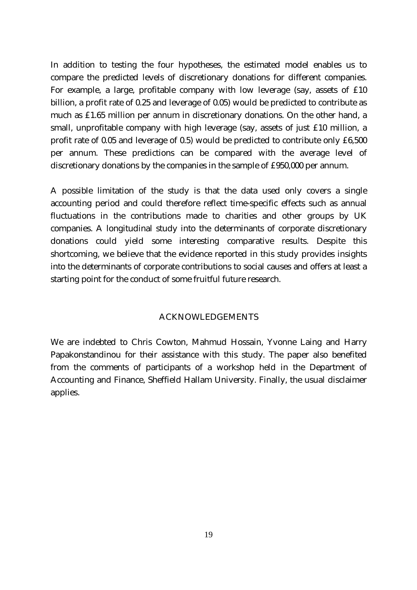In addition to testing the four hypotheses, the estimated model enables us to compare the predicted levels of discretionary donations for different companies. For example, a large, profitable company with low leverage (say, assets of £10 billion, a profit rate of 0.25 and leverage of 0.05) would be predicted to contribute as much as £1.65 million per annum in discretionary donations. On the other hand, a small, unprofitable company with high leverage (say, assets of just £10 million, a profit rate of 0.05 and leverage of 0.5) would be predicted to contribute only £6,500 per annum. These predictions can be compared with the average level of discretionary donations by the companies in the sample of £950,000 per annum.

A possible limitation of the study is that the data used only covers a single accounting period and could therefore reflect time-specific effects such as annual fluctuations in the contributions made to charities and other groups by UK companies. A longitudinal study into the determinants of corporate discretionary donations could yield some interesting comparative results. Despite this shortcoming, we believe that the evidence reported in this study provides insights into the determinants of corporate contributions to social causes and offers at least a starting point for the conduct of some fruitful future research.

### ACKNOWLEDGEMENTS

We are indebted to Chris Cowton, Mahmud Hossain, Yvonne Laing and Harry Papakonstandinou for their assistance with this study. The paper also benefited from the comments of participants of a workshop held in the Department of Accounting and Finance, Sheffield Hallam University. Finally, the usual disclaimer applies.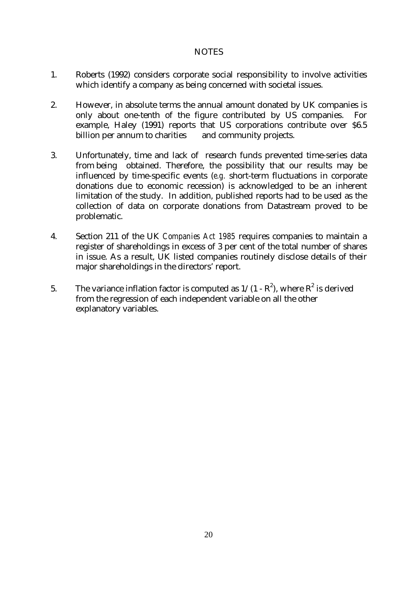## **NOTES**

- 1. Roberts (1992) considers corporate social responsibility to involve activities which identify a company as being concerned with societal issues.
- 2. However, in absolute terms the annual amount donated by UK companies is only about one-tenth of the figure contributed by US companies. For example, Haley (1991) reports that US corporations contribute over \$6.5 billion per annum to charities and community projects.
- 3. Unfortunately, time and lack of research funds prevented time-series data from being obtained. Therefore, the possibility that our results may be influenced by time-specific events (*e.g.* short-term fluctuations in corporate donations due to economic recession) is acknowledged to be an inherent limitation of the study. In addition, published reports had to be used as the collection of data on corporate donations from Datastream proved to be problematic.
- 4. Section 211 of the UK *Companies Act 1985* requires companies to maintain a register of shareholdings in excess of 3 per cent of the total number of shares in issue. As a result, UK listed companies routinely disclose details of their major shareholdings in the directors' report.
- 5. The variance inflation factor is computed as  $1/(1 R^2)$ , where  $R^2$  is derived from the regression of each independent variable on all the other explanatory variables.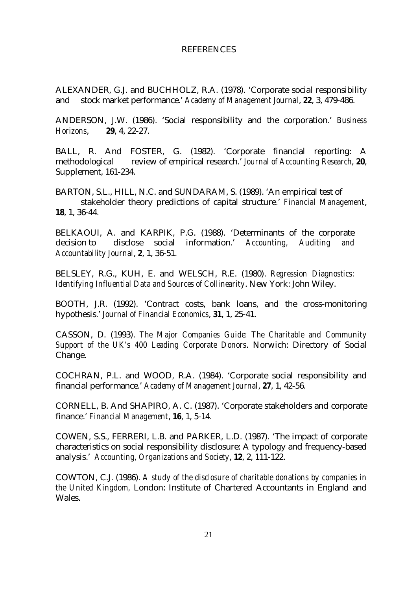#### **REFERENCES**

ALEXANDER, G.J. and BUCHHOLZ, R.A. (1978). 'Corporate social responsibility and stock market performance.' *Academy of Management Journal*, **22**, 3, 479-486.

ANDERSON, J.W. (1986). 'Social responsibility and the corporation.' *Business Horizons*, **29**, 4, 22-27.

BALL, R. And FOSTER, G. (1982). 'Corporate financial reporting: A methodological review of empirical research.' *Journal of Accounting Research*, **20**, Supplement, 161-234.

BARTON, S.L., HILL, N.C. and SUNDARAM, S. (1989). 'An empirical test of stakeholder theory predictions of capital structure.' *Financial Management*, **18**, 1, 36-44.

BELKAOUI, A. and KARPIK, P.G. (1988). 'Determinants of the corporate decision to disclose social information.' *Accounting, Auditing and Accountability Journal*, **2**, 1, 36-51.

BELSLEY, R.G., KUH, E. and WELSCH, R.E. (1980). *Regression Diagnostics: Identifying Influential Data and Sources of Collinearity*. New York: John Wiley.

BOOTH, J.R. (1992). 'Contract costs, bank loans, and the cross-monitoring hypothesis.' *Journal of Financial Economics*, **31**, 1, 25-41.

CASSON, D. (1993). *The Major Companies Guide: The Charitable and Community Support of the UK's 400 Leading Corporate Donors*. Norwich: Directory of Social Change.

COCHRAN, P.L. and WOOD, R.A. (1984). 'Corporate social responsibility and financial performance.' *Academy of Management Journal*, **27**, 1, 42-56.

CORNELL, B. And SHAPIRO, A. C. (1987). 'Corporate stakeholders and corporate finance.' *Financial Management*, **16**, 1, 5-14.

COWEN, S.S., FERRERI, L.B. and PARKER, L.D. (1987). 'The impact of corporate characteristics on social responsibility disclosure: A typology and frequency-based analysis.' *Accounting, Organizations and Society*, **12**, 2, 111-122.

COWTON, C.J. (1986). *A study of the disclosure of charitable donations by companies in the United Kingdom,* London: Institute of Chartered Accountants in England and Wales.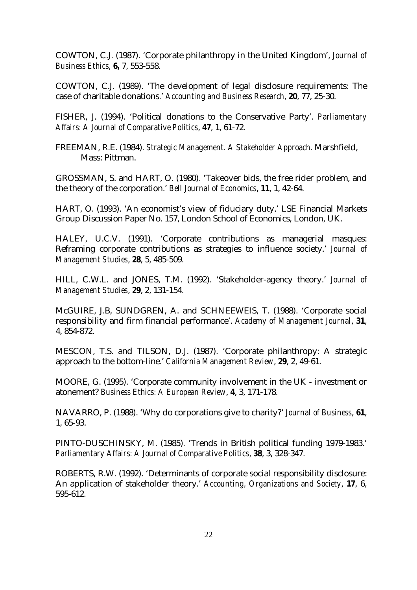COWTON, C.J. (1987). 'Corporate philanthropy in the United Kingdom', *Journal of Business Ethics,* **6,** 7, 553-558.

COWTON, C.J. (1989). 'The development of legal disclosure requirements: The case of charitable donations.' *Accounting and Business Research*, **20**, 77, 25-30.

FISHER, J. (1994). 'Political donations to the Conservative Party'. *Parliamentary Affairs: A Journal of Comparative Politics*, **47**, 1, 61-72.

FREEMAN, R.E. (1984). *Strategic Management. A Stakeholder Approach*. Marshfield, Mass: Pittman.

GROSSMAN, S. and HART, O. (1980). 'Takeover bids, the free rider problem, and the theory of the corporation.' *Bell Journal of Economics*, **11**, 1, 42-64.

HART, O. (1993). 'An economist's view of fiduciary duty.' LSE Financial Markets Group Discussion Paper No. 157, London School of Economics, London, UK.

HALEY, U.C.V. (1991). 'Corporate contributions as managerial masques: Reframing corporate contributions as strategies to influence society.' *Journal of Management Studies*, **28**, 5, 485-509.

HILL, C.W.L. and JONES, T.M. (1992). 'Stakeholder-agency theory.' *Journal of Management Studies*, **29**, 2, 131-154.

McGUIRE, J.B, SUNDGREN, A. and SCHNEEWEIS, T. (1988). 'Corporate social responsibility and firm financial performance'. *Academy of Management Journal*, **31**, 4, 854-872.

MESCON, T.S. and TILSON, D.J. (1987). 'Corporate philanthropy: A strategic approach to the bottom-line.' *California Management Review*, **29**, 2, 49-61.

MOORE, G. (1995). 'Corporate community involvement in the UK - investment or atonement? *Business Ethics: A European Review*, **4**, 3, 171-178.

NAVARRO, P. (1988). 'Why do corporations give to charity?' *Journal of Business*, **61**, 1, 65-93.

PINTO-DUSCHINSKY, M. (1985). 'Trends in British political funding 1979-1983.' *Parliamentary Affairs: A Journal of Comparative Politics*, **38**, 3, 328-347.

ROBERTS, R.W. (1992). 'Determinants of corporate social responsibility disclosure: An application of stakeholder theory.' *Accounting, Organizations and Society*, **17**, 6, 595-612.